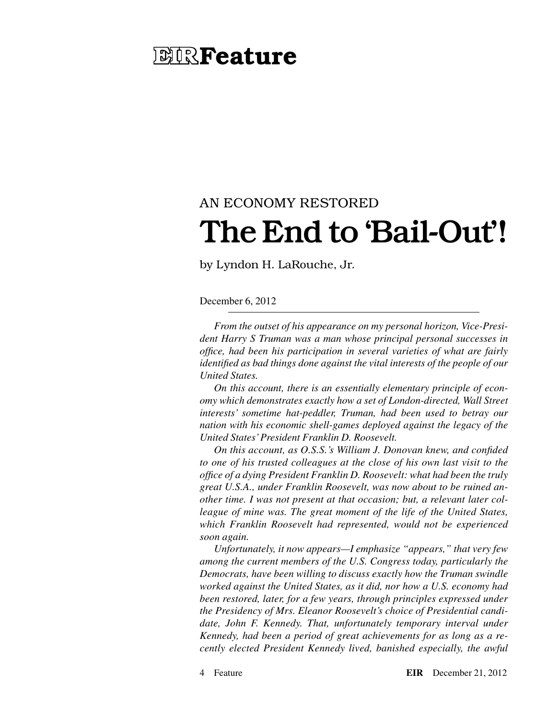# **EIRFeature**

# AN ECONOMY RESTORED The End to 'Bail-Out'!

by Lyndon H. LaRouche, Jr.

### December 6, 2012

*From the outset of his appearance on my personal horizon, Vice-President Harry S Truman was a man whose principal personal successes in office, had been his participation in several varieties of what are fairly identified as bad things done against the vital interests of the people of our United States.*

*On this account, there is an essentially elementary principle of economy which demonstrates exactly how a set of London-directed, Wall Street interests' sometime hat-peddler, Truman, had been used to betray our nation with his economic shell-games deployed against the legacy of the United States' President Franklin D. Roosevelt.*

*On this account, as O.S.S.'s William J. Donovan knew, and confided to one of his trusted colleagues at the close of his own last visit to the office of a dying President Franklin D. Roosevelt: what had been the truly great U.S.A., under Franklin Roosevelt, was now about to be ruined another time. I was not present at that occasion; but, a relevant later colleague of mine was. The great moment of the life of the United States, which Franklin Roosevelt had represented, would not be experienced soon again.*

*Unfortunately, it now appears—I emphasize "appears," that very few among the current members of the U.S. Congress today, particularly the Democrats, have been willing to discuss exactly how the Truman swindle worked against the United States, as it did, nor how a U.S. economy had been restored, later, for a few years, through principles expressed under the Presidency of Mrs. Eleanor Roosevelt's choice of Presidential candidate, John F. Kennedy. That, unfortunately temporary interval under Kennedy, had been a period of great achievements for as long as a recently elected President Kennedy lived, banished especially, the awful*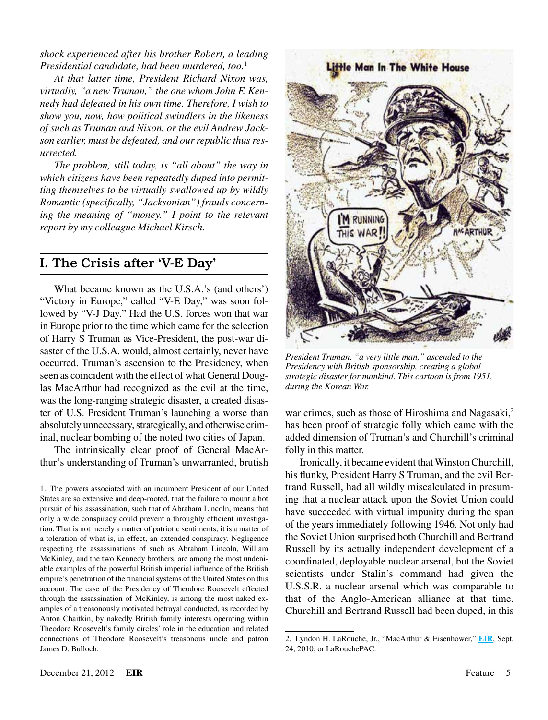*shock experienced after his brother Robert, a leading Presidential candidate, had been murdered, too.*<sup>1</sup>

*At that latter time, President Richard Nixon was, virtually, "a new Truman," the one whom John F. Kennedy had defeated in his own time. Therefore, I wish to show you, now, how political swindlers in the likeness of such as Truman and Nixon, or the evil Andrew Jackson earlier, must be defeated, and our republic thus resurrected.*

*The problem, still today, is "all about" the way in which citizens have been repeatedly duped into permitting themselves to be virtually swallowed up by wildly Romantic (specifically, "Jacksonian") frauds concerning the meaning of "money." I point to the relevant report by my colleague Michael Kirsch.*

## I. The Crisis after 'V-E Day'

What became known as the U.S.A.'s (and others') "Victory in Europe," called "V-E Day," was soon followed by "V-J Day." Had the U.S. forces won that war in Europe prior to the time which came for the selection of Harry S Truman as Vice-President, the post-war disaster of the U.S.A. would, almost certainly, never have occurred. Truman's ascension to the Presidency, when seen as coincident with the effect of what General Douglas MacArthur had recognized as the evil at the time, was the long-ranging strategic disaster, a created disaster of U.S. President Truman's launching a worse than absolutely unnecessary, strategically, and otherwise criminal, nuclear bombing of the noted two cities of Japan.

The intrinsically clear proof of General MacArthur's understanding of Truman's unwarranted, brutish



*President Truman, "a very little man," ascended to the Presidency with British sponsorship, creating a global strategic disaster for mankind. This cartoon is from 1951, during the Korean War.*

war crimes, such as those of Hiroshima and Nagasaki,<sup>2</sup> has been proof of strategic folly which came with the added dimension of Truman's and Churchill's criminal folly in this matter.

Ironically, it became evident that Winston Churchill, his flunky, President Harry S Truman, and the evil Bertrand Russell, had all wildly miscalculated in presuming that a nuclear attack upon the Soviet Union could have succeeded with virtual impunity during the span of the years immediately following 1946. Not only had the Soviet Union surprised both Churchill and Bertrand Russell by its actually independent development of a coordinated, deployable nuclear arsenal, but the Soviet scientists under Stalin's command had given the U.S.S.R. a nuclear arsenal which was comparable to that of the Anglo-American alliance at that time. Churchill and Bertrand Russell had been duped, in this

<sup>1.</sup> The powers associated with an incumbent President of our United States are so extensive and deep-rooted, that the failure to mount a hot pursuit of his assassination, such that of Abraham Lincoln, means that only a wide conspiracy could prevent a throughly efficient investigation. That is not merely a matter of patriotic sentiments; it is a matter of a toleration of what is, in effect, an extended conspiracy. Negligence respecting the assassinations of such as Abraham Lincoln, William McKinley, and the two Kennedy brothers, are among the most undeniable examples of the powerful British imperial influence of the British empire's penetration of the financial systems of the United States on this account. The case of the Presidency of Theodore Roosevelt effected through the assassination of McKinley, is among the most naked examples of a treasonously motivated betrayal conducted, as recorded by Anton Chaitkin, by nakedly British family interests operating within Theodore Roosevelt's family circles' role in the education and related connections of Theodore Roosevelt's treasonous uncle and patron James D. Bulloch.

<sup>2.</sup> Lyndon H. LaRouche, Jr., "MacArthur & Eisenhower," **[EIR](http://www.larouchepub.com/lar/2010/3737mac_ike_no_consiracy.html)**, Sept. 24, 2010; or LaRouchePAC.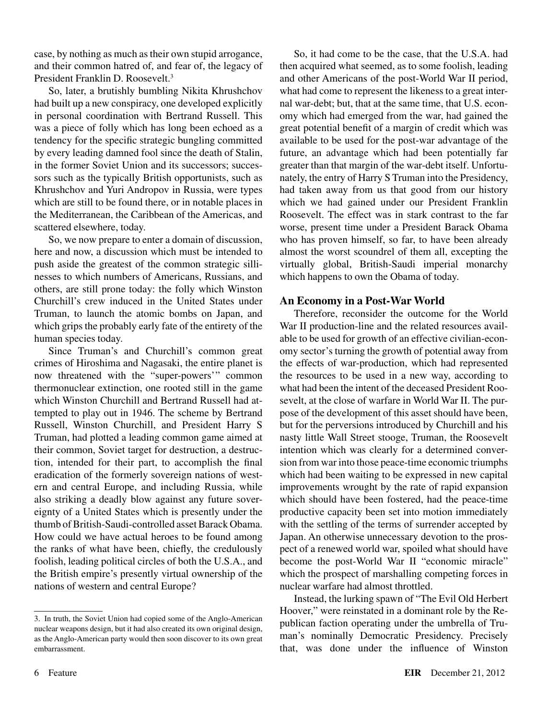case, by nothing as much as their own stupid arrogance, and their common hatred of, and fear of, the legacy of President Franklin D. Roosevelt.3

So, later, a brutishly bumbling Nikita Khrushchov had built up a new conspiracy, one developed explicitly in personal coordination with Bertrand Russell. This was a piece of folly which has long been echoed as a tendency for the specific strategic bungling committed by every leading damned fool since the death of Stalin, in the former Soviet Union and its successors; successors such as the typically British opportunists, such as Khrushchov and Yuri Andropov in Russia, were types which are still to be found there, or in notable places in the Mediterranean, the Caribbean of the Americas, and scattered elsewhere, today.

So, we now prepare to enter a domain of discussion, here and now, a discussion which must be intended to push aside the greatest of the common strategic sillinesses to which numbers of Americans, Russians, and others, are still prone today: the folly which Winston Churchill's crew induced in the United States under Truman, to launch the atomic bombs on Japan, and which grips the probably early fate of the entirety of the human species today.

Since Truman's and Churchill's common great crimes of Hiroshima and Nagasaki, the entire planet is now threatened with the "super-powers'" common thermonuclear extinction, one rooted still in the game which Winston Churchill and Bertrand Russell had attempted to play out in 1946. The scheme by Bertrand Russell, Winston Churchill, and President Harry S Truman, had plotted a leading common game aimed at their common, Soviet target for destruction, a destruction, intended for their part, to accomplish the final eradication of the formerly sovereign nations of western and central Europe, and including Russia, while also striking a deadly blow against any future sovereignty of a United States which is presently under the thumb of British-Saudi-controlled asset Barack Obama. How could we have actual heroes to be found among the ranks of what have been, chiefly, the credulously foolish, leading political circles of both the U.S.A., and the British empire's presently virtual ownership of the nations of western and central Europe?

So, it had come to be the case, that the U.S.A. had then acquired what seemed, as to some foolish, leading and other Americans of the post-World War II period, what had come to represent the likeness to a great internal war-debt; but, that at the same time, that U.S. economy which had emerged from the war, had gained the great potential benefit of a margin of credit which was available to be used for the post-war advantage of the future, an advantage which had been potentially far greater than that margin of the war-debt itself. Unfortunately, the entry of Harry S Truman into the Presidency, had taken away from us that good from our history which we had gained under our President Franklin Roosevelt. The effect was in stark contrast to the far worse, present time under a President Barack Obama who has proven himself, so far, to have been already almost the worst scoundrel of them all, excepting the virtually global, British-Saudi imperial monarchy which happens to own the Obama of today.

### **An Economy in a Post-War World**

Therefore, reconsider the outcome for the World War II production-line and the related resources available to be used for growth of an effective civilian-economy sector's turning the growth of potential away from the effects of war-production, which had represented the resources to be used in a new way, according to what had been the intent of the deceased President Roosevelt, at the close of warfare in World War II. The purpose of the development of this asset should have been, but for the perversions introduced by Churchill and his nasty little Wall Street stooge, Truman, the Roosevelt intention which was clearly for a determined conversion from war into those peace-time economic triumphs which had been waiting to be expressed in new capital improvements wrought by the rate of rapid expansion which should have been fostered, had the peace-time productive capacity been set into motion immediately with the settling of the terms of surrender accepted by Japan. An otherwise unnecessary devotion to the prospect of a renewed world war, spoiled what should have become the post-World War II "economic miracle" which the prospect of marshalling competing forces in nuclear warfare had almost throttled.

Instead, the lurking spawn of "The Evil Old Herbert Hoover," were reinstated in a dominant role by the Republican faction operating under the umbrella of Truman's nominally Democratic Presidency. Precisely that, was done under the influence of Winston

<sup>3.</sup> In truth, the Soviet Union had copied some of the Anglo-American nuclear weapons design, but it had also created its own original design, as the Anglo-American party would then soon discover to its own great embarrassment.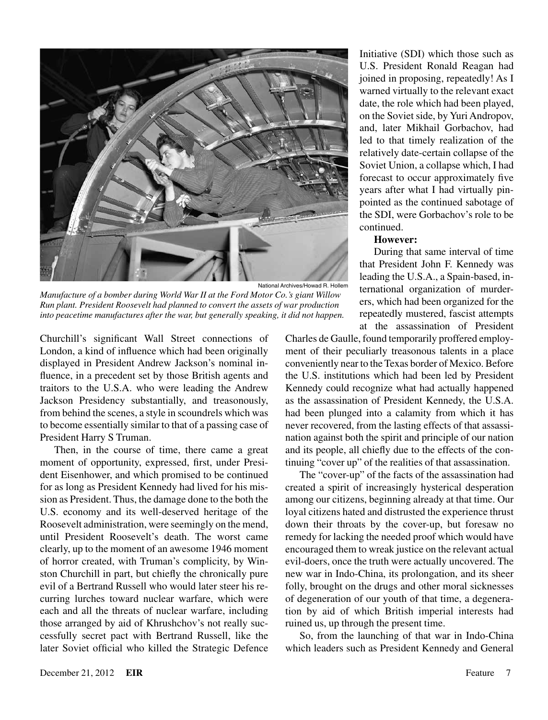

*Manufacture of a bomber during World War II at the Ford Motor Co.'s giant Willow Run plant. President Roosevelt had planned to convert the assets of war production into peacetime manufactures after the war, but generally speaking, it did not happen.*

Churchill's significant Wall Street connections of London, a kind of influence which had been originally displayed in President Andrew Jackson's nominal influence, in a precedent set by those British agents and traitors to the U.S.A. who were leading the Andrew Jackson Presidency substantially, and treasonously, from behind the scenes, a style in scoundrels which was to become essentially similar to that of a passing case of President Harry S Truman.

Then, in the course of time, there came a great moment of opportunity, expressed, first, under President Eisenhower, and which promised to be continued for as long as President Kennedy had lived for his mission as President. Thus, the damage done to the both the U.S. economy and its well-deserved heritage of the Roosevelt administration, were seemingly on the mend, until President Roosevelt's death. The worst came clearly, up to the moment of an awesome 1946 moment of horror created, with Truman's complicity, by Winston Churchill in part, but chiefly the chronically pure evil of a Bertrand Russell who would later steer his recurring lurches toward nuclear warfare, which were each and all the threats of nuclear warfare, including those arranged by aid of Khrushchov's not really successfully secret pact with Bertrand Russell, like the later Soviet official who killed the Strategic Defence

Initiative (SDI) which those such as U.S. President Ronald Reagan had joined in proposing, repeatedly! As I warned virtually to the relevant exact date, the role which had been played, on the Soviet side, by Yuri Andropov, and, later Mikhail Gorbachov, had led to that timely realization of the relatively date-certain collapse of the Soviet Union, a collapse which, I had forecast to occur approximately five years after what I had virtually pinpointed as the continued sabotage of the SDI, were Gorbachov's role to be continued.

#### **However:**

During that same interval of time that President John F. Kennedy was leading the U.S.A., a Spain-based, international organization of murderers, which had been organized for the repeatedly mustered, fascist attempts at the assassination of President

Charles de Gaulle, found temporarily proffered employment of their peculiarly treasonous talents in a place conveniently near to the Texas border of Mexico. Before the U.S. institutions which had been led by President Kennedy could recognize what had actually happened as the assassination of President Kennedy, the U.S.A. had been plunged into a calamity from which it has never recovered, from the lasting effects of that assassination against both the spirit and principle of our nation and its people, all chiefly due to the effects of the continuing "cover up" of the realities of that assassination.

The "cover-up" of the facts of the assassination had created a spirit of increasingly hysterical desperation among our citizens, beginning already at that time. Our loyal citizens hated and distrusted the experience thrust down their throats by the cover-up, but foresaw no remedy for lacking the needed proof which would have encouraged them to wreak justice on the relevant actual evil-doers, once the truth were actually uncovered. The new war in Indo-China, its prolongation, and its sheer folly, brought on the drugs and other moral sicknesses of degeneration of our youth of that time, a degeneration by aid of which British imperial interests had ruined us, up through the present time.

So, from the launching of that war in Indo-China which leaders such as President Kennedy and General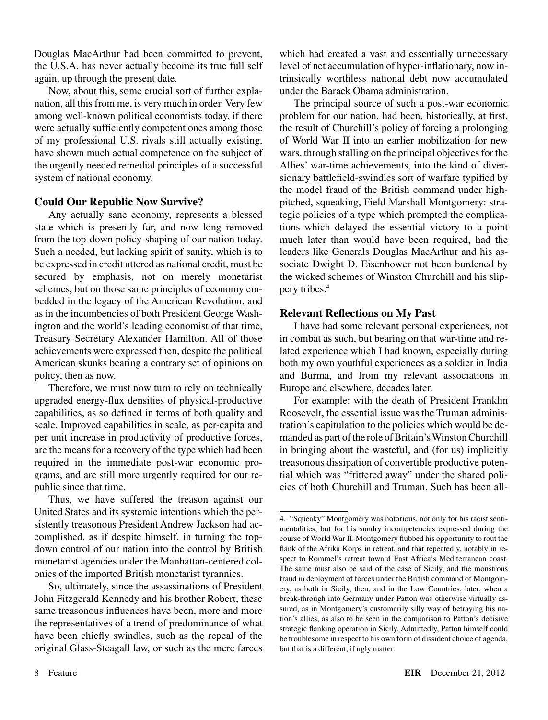Douglas MacArthur had been committed to prevent, the U.S.A. has never actually become its true full self again, up through the present date.

Now, about this, some crucial sort of further explanation, all this from me, is very much in order. Very few among well-known political economists today, if there were actually sufficiently competent ones among those of my professional U.S. rivals still actually existing, have shown much actual competence on the subject of the urgently needed remedial principles of a successful system of national economy.

## **Could Our Republic Now Survive?**

Any actually sane economy, represents a blessed state which is presently far, and now long removed from the top-down policy-shaping of our nation today. Such a needed, but lacking spirit of sanity, which is to be expressed in credit uttered as national credit, must be secured by emphasis, not on merely monetarist schemes, but on those same principles of economy embedded in the legacy of the American Revolution, and as in the incumbencies of both President George Washington and the world's leading economist of that time, Treasury Secretary Alexander Hamilton. All of those achievements were expressed then, despite the political American skunks bearing a contrary set of opinions on policy, then as now.

Therefore, we must now turn to rely on technically upgraded energy-flux densities of physical-productive capabilities, as so defined in terms of both quality and scale. Improved capabilities in scale, as per-capita and per unit increase in productivity of productive forces, are the means for a recovery of the type which had been required in the immediate post-war economic programs, and are still more urgently required for our republic since that time.

Thus, we have suffered the treason against our United States and its systemic intentions which the persistently treasonous President Andrew Jackson had accomplished, as if despite himself, in turning the topdown control of our nation into the control by British monetarist agencies under the Manhattan-centered colonies of the imported British monetarist tyrannies.

So, ultimately, since the assassinations of President John Fitzgerald Kennedy and his brother Robert, these same treasonous influences have been, more and more the representatives of a trend of predominance of what have been chiefly swindles, such as the repeal of the original Glass-Steagall law, or such as the mere farces which had created a vast and essentially unnecessary level of net accumulation of hyper-inflationary, now intrinsically worthless national debt now accumulated under the Barack Obama administration.

The principal source of such a post-war economic problem for our nation, had been, historically, at first, the result of Churchill's policy of forcing a prolonging of World War II into an earlier mobilization for new wars, through stalling on the principal objectives for the Allies' war-time achievements, into the kind of diversionary battlefield-swindles sort of warfare typified by the model fraud of the British command under highpitched, squeaking, Field Marshall Montgomery: strategic policies of a type which prompted the complications which delayed the essential victory to a point much later than would have been required, had the leaders like Generals Douglas MacArthur and his associate Dwight D. Eisenhower not been burdened by the wicked schemes of Winston Churchill and his slippery tribes.4

## **Relevant Reflections on My Past**

I have had some relevant personal experiences, not in combat as such, but bearing on that war-time and related experience which I had known, especially during both my own youthful experiences as a soldier in India and Burma, and from my relevant associations in Europe and elsewhere, decades later.

For example: with the death of President Franklin Roosevelt, the essential issue was the Truman administration's capitulation to the policies which would be demanded as part of the role of Britain's Winston Churchill in bringing about the wasteful, and (for us) implicitly treasonous dissipation of convertible productive potential which was "frittered away" under the shared policies of both Churchill and Truman. Such has been all-

<sup>4.</sup> "Squeaky" Montgomery was notorious, not only for his racist sentimentalities, but for his sundry incompetencies expressed during the course of World War II. Montgomery flubbed his opportunity to rout the flank of the Afrika Korps in retreat, and that repeatedly, notably in respect to Rommel's retreat toward East Africa's Mediterranean coast. The same must also be said of the case of Sicily, and the monstrous fraud in deployment of forces under the British command of Montgomery, as both in Sicily, then, and in the Low Countries, later, when a break-through into Germany under Patton was otherwise virtually assured, as in Montgomery's customarily silly way of betraying his nation's allies, as also to be seen in the comparison to Patton's decisive strategic flanking operation in Sicily. Admittedly, Patton himself could be troublesome in respect to his own form of dissident choice of agenda, but that is a different, if ugly matter.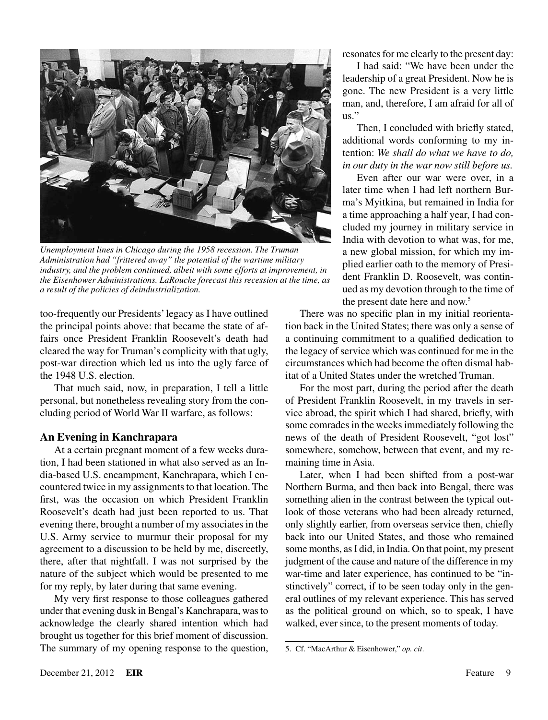

*Unemployment lines in Chicago during the 1958 recession. The Truman Administration had "frittered away" the potential of the wartime military*  industry, and the problem continued, albeit with some efforts at improvement, in *the Eisenhower Administrations. LaRouche forecast this recession at the time, as a result of the policies of deindustrialization.*

too-frequently our Presidents' legacy as I have outlined the principal points above: that became the state of affairs once President Franklin Roosevelt's death had cleared the way for Truman's complicity with that ugly, post-war direction which led us into the ugly farce of the 1948 U.S. election.

That much said, now, in preparation, I tell a little personal, but nonetheless revealing story from the concluding period of World War II warfare, as follows:

### **An Evening in Kanchrapara**

At a certain pregnant moment of a few weeks duration, I had been stationed in what also served as an India-based U.S. encampment, Kanchrapara, which I encountered twice in my assignments to that location. The first, was the occasion on which President Franklin Roosevelt's death had just been reported to us. That evening there, brought a number of my associates in the U.S. Army service to murmur their proposal for my agreement to a discussion to be held by me, discreetly, there, after that nightfall. I was not surprised by the nature of the subject which would be presented to me for my reply, by later during that same evening.

My very first response to those colleagues gathered under that evening dusk in Bengal's Kanchrapara, was to acknowledge the clearly shared intention which had brought us together for this brief moment of discussion. The summary of my opening response to the question, resonates for me clearly to the present day:

I had said: "We have been under the leadership of a great President. Now he is gone. The new President is a very little man, and, therefore, I am afraid for all of us."

Then, I concluded with briefly stated, additional words conforming to my intention: *We shall do what we have to do, in our duty in the war now still before us.*

Even after our war were over, in a later time when I had left northern Burma's Myitkina, but remained in India for a time approaching a half year, I had concluded my journey in military service in India with devotion to what was, for me, a new global mission, for which my implied earlier oath to the memory of President Franklin D. Roosevelt, was continued as my devotion through to the time of the present date here and now.<sup>5</sup>

There was no specific plan in my initial reorientation back in the United States; there was only a sense of a continuing commitment to a qualified dedication to the legacy of service which was continued for me in the circumstances which had become the often dismal habitat of a United States under the wretched Truman.

For the most part, during the period after the death of President Franklin Roosevelt, in my travels in service abroad, the spirit which I had shared, briefly, with some comrades in the weeks immediately following the news of the death of President Roosevelt, "got lost" somewhere, somehow, between that event, and my remaining time in Asia.

Later, when I had been shifted from a post-war Northern Burma, and then back into Bengal, there was something alien in the contrast between the typical outlook of those veterans who had been already returned, only slightly earlier, from overseas service then, chiefly back into our United States, and those who remained some months, as I did, in India. On that point, my present judgment of the cause and nature of the difference in my war-time and later experience, has continued to be "instinctively" correct, if to be seen today only in the general outlines of my relevant experience. This has served as the political ground on which, so to speak, I have walked, ever since, to the present moments of today.

<sup>5.</sup> Cf. "MacArthur & Eisenhower," *op. cit*.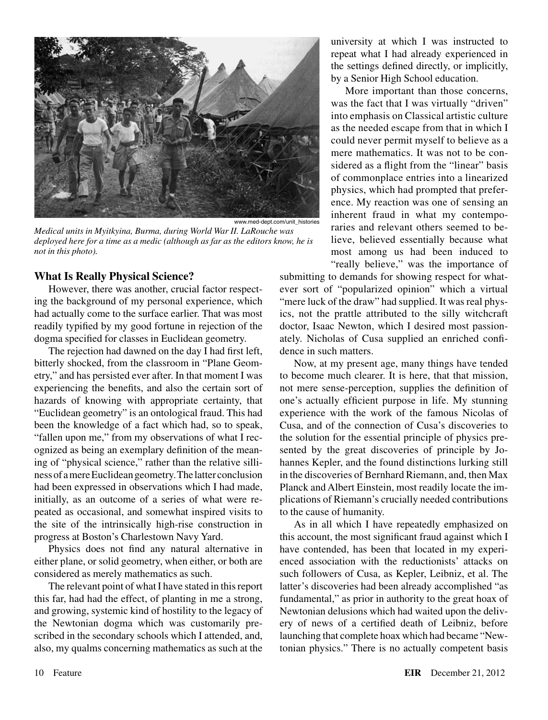

*Medical units in Myitkyina, Burma, during World War II. LaRouche was deployed here for a time as a medic (although as far as the editors know, he is not in this photo).*

## **What Is Really Physical Science?**

However, there was another, crucial factor respecting the background of my personal experience, which had actually come to the surface earlier. That was most readily typified by my good fortune in rejection of the dogma specified for classes in Euclidean geometry.

The rejection had dawned on the day I had first left, bitterly shocked, from the classroom in "Plane Geometry," and has persisted ever after. In that moment I was experiencing the benefits, and also the certain sort of hazards of knowing with appropriate certainty, that "Euclidean geometry" is an ontological fraud. This had been the knowledge of a fact which had, so to speak, "fallen upon me," from my observations of what I recognized as being an exemplary definition of the meaning of "physical science," rather than the relative silliness of a mere Euclidean geometry. The latter conclusion had been expressed in observations which I had made, initially, as an outcome of a series of what were repeated as occasional, and somewhat inspired visits to the site of the intrinsically high-rise construction in progress at Boston's Charlestown Navy Yard.

Physics does not find any natural alternative in either plane, or solid geometry, when either, or both are considered as merely mathematics as such.

The relevant point of what I have stated in this report this far, had had the effect, of planting in me a strong, and growing, systemic kind of hostility to the legacy of the Newtonian dogma which was customarily prescribed in the secondary schools which I attended, and, also, my qualms concerning mathematics as such at the university at which I was instructed to repeat what I had already experienced in the settings defined directly, or implicitly, by a Senior High School education.

More important than those concerns, was the fact that I was virtually "driven" into emphasis on Classical artistic culture as the needed escape from that in which I could never permit myself to believe as a mere mathematics. It was not to be considered as a flight from the "linear" basis of commonplace entries into a linearized physics, which had prompted that preference. My reaction was one of sensing an inherent fraud in what my contemporaries and relevant others seemed to believe, believed essentially because what most among us had been induced to "really believe," was the importance of

submitting to demands for showing respect for whatever sort of "popularized opinion" which a virtual "mere luck of the draw" had supplied. It was real physics, not the prattle attributed to the silly witchcraft doctor, Isaac Newton, which I desired most passionately. Nicholas of Cusa supplied an enriched confidence in such matters.

Now, at my present age, many things have tended to become much clearer. It is here, that that mission, not mere sense-perception, supplies the definition of one's actually efficient purpose in life. My stunning experience with the work of the famous Nicolas of Cusa, and of the connection of Cusa's discoveries to the solution for the essential principle of physics presented by the great discoveries of principle by Johannes Kepler, and the found distinctions lurking still in the discoveries of Bernhard Riemann, and, then Max Planck and Albert Einstein, most readily locate the implications of Riemann's crucially needed contributions to the cause of humanity.

As in all which I have repeatedly emphasized on this account, the most significant fraud against which I have contended, has been that located in my experienced association with the reductionists' attacks on such followers of Cusa, as Kepler, Leibniz, et al. The latter's discoveries had been already accomplished "as fundamental," as prior in authority to the great hoax of Newtonian delusions which had waited upon the delivery of news of a certified death of Leibniz, before launching that complete hoax which had became "Newtonian physics." There is no actually competent basis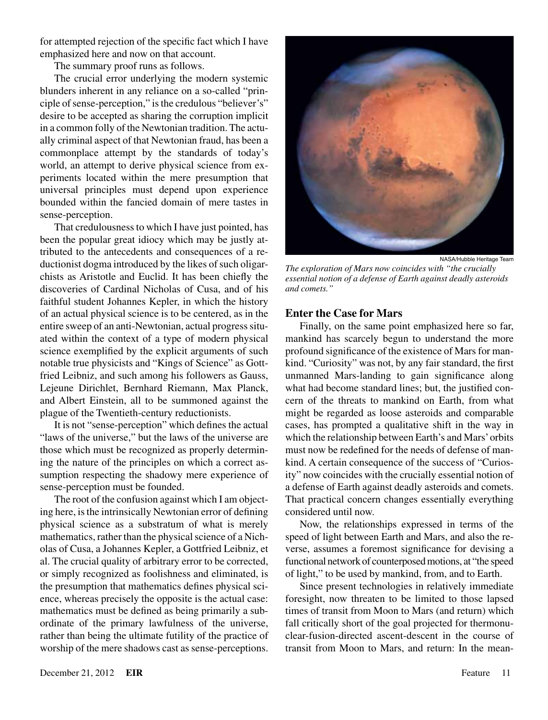for attempted rejection of the specific fact which I have emphasized here and now on that account.

The summary proof runs as follows.

The crucial error underlying the modern systemic blunders inherent in any reliance on a so-called "principle of sense-perception," is the credulous "believer's" desire to be accepted as sharing the corruption implicit in a common folly of the Newtonian tradition. The actually criminal aspect of that Newtonian fraud, has been a commonplace attempt by the standards of today's world, an attempt to derive physical science from experiments located within the mere presumption that universal principles must depend upon experience bounded within the fancied domain of mere tastes in sense-perception.

That credulousness to which I have just pointed, has been the popular great idiocy which may be justly attributed to the antecedents and consequences of a reductionist dogma introduced by the likes of such oligarchists as Aristotle and Euclid. It has been chiefly the discoveries of Cardinal Nicholas of Cusa, and of his faithful student Johannes Kepler, in which the history of an actual physical science is to be centered, as in the entire sweep of an anti-Newtonian, actual progress situated within the context of a type of modern physical science exemplified by the explicit arguments of such notable true physicists and "Kings of Science" as Gottfried Leibniz, and such among his followers as Gauss, Lejeune Dirichlet, Bernhard Riemann, Max Planck, and Albert Einstein, all to be summoned against the plague of the Twentieth-century reductionists.

It is not "sense-perception" which defines the actual "laws of the universe," but the laws of the universe are those which must be recognized as properly determining the nature of the principles on which a correct assumption respecting the shadowy mere experience of sense-perception must be founded.

The root of the confusion against which I am objecting here, is the intrinsically Newtonian error of defining physical science as a substratum of what is merely mathematics, rather than the physical science of a Nicholas of Cusa, a Johannes Kepler, a Gottfried Leibniz, et al. The crucial quality of arbitrary error to be corrected, or simply recognized as foolishness and eliminated, is the presumption that mathematics defines physical science, whereas precisely the opposite is the actual case: mathematics must be defined as being primarily a subordinate of the primary lawfulness of the universe, rather than being the ultimate futility of the practice of worship of the mere shadows cast as sense-perceptions.



NASA/Hubble Heritage Team

*The exploration of Mars now coincides with "the crucially essential notion of a defense of Earth against deadly asteroids and comets."*

#### **Enter the Case for Mars**

Finally, on the same point emphasized here so far, mankind has scarcely begun to understand the more profound significance of the existence of Mars for mankind. "Curiosity" was not, by any fair standard, the first unmanned Mars-landing to gain significance along what had become standard lines; but, the justified concern of the threats to mankind on Earth, from what might be regarded as loose asteroids and comparable cases, has prompted a qualitative shift in the way in which the relationship between Earth's and Mars' orbits must now be redefined for the needs of defense of mankind. A certain consequence of the success of "Curiosity" now coincides with the crucially essential notion of a defense of Earth against deadly asteroids and comets. That practical concern changes essentially everything considered until now.

Now, the relationships expressed in terms of the speed of light between Earth and Mars, and also the reverse, assumes a foremost significance for devising a functional network of counterposed motions, at "the speed of light," to be used by mankind, from, and to Earth.

Since present technologies in relatively immediate foresight, now threaten to be limited to those lapsed times of transit from Moon to Mars (and return) which fall critically short of the goal projected for thermonuclear-fusion-directed ascent-descent in the course of transit from Moon to Mars, and return: In the mean-